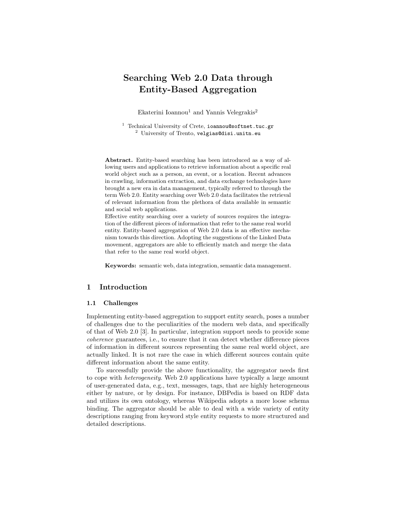# Searching Web 2.0 Data through Entity-Based Aggregation

Ekaterini Ioannou<sup>1</sup> and Yannis Velegrakis<sup>2</sup>

<sup>1</sup> Technical University of Crete, ioannou@softnet.tuc.gr  $^2$  University of Trento, velgias@disi.unitn.eu

Abstract. Entity-based searching has been introduced as a way of allowing users and applications to retrieve information about a specific real world object such as a person, an event, or a location. Recent advances in crawling, information extraction, and data exchange technologies have brought a new era in data management, typically referred to through the term Web 2.0. Entity searching over Web 2.0 data facilitates the retrieval of relevant information from the plethora of data available in semantic and social web applications.

Effective entity searching over a variety of sources requires the integration of the different pieces of information that refer to the same real world entity. Entity-based aggregation of Web 2.0 data is an effective mechanism towards this direction. Adopting the suggestions of the Linked Data movement, aggregators are able to efficiently match and merge the data that refer to the same real world object.

Keywords: semantic web, data integration, semantic data management.

# 1 Introduction

### 1.1 Challenges

Implementing entity-based aggregation to support entity search, poses a number of challenges due to the peculiarities of the modern web data, and specifically of that of Web 2.0 [3]. In particular, integration support needs to provide some coherence guarantees, i.e., to ensure that it can detect whether difference pieces of information in different sources representing the same real world object, are actually linked. It is not rare the case in which different sources contain quite different information about the same entity.

To successfully provide the above functionality, the aggregator needs first to cope with heterogeneity. Web 2.0 applications have typically a large amount of user-generated data, e.g., text, messages, tags, that are highly heterogeneous either by nature, or by design. For instance, DBPedia is based on RDF data and utilizes its own ontology, whereas Wikipedia adopts a more loose schema binding. The aggregator should be able to deal with a wide variety of entity descriptions ranging from keyword style entity requests to more structured and detailed descriptions.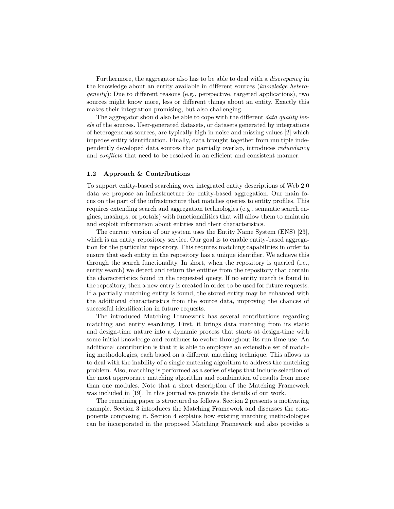Furthermore, the aggregator also has to be able to deal with a discrepancy in the knowledge about an entity available in different sources (knowledge heterogeneity): Due to different reasons (e.g., perspective, targeted applications), two sources might know more, less or different things about an entity. Exactly this makes their integration promising, but also challenging.

The aggregator should also be able to cope with the different *data quality lev*els of the sources. User-generated datasets, or datasets generated by integrations of heterogeneous sources, are typically high in noise and missing values [2] which impedes entity identification. Finally, data brought together from multiple independently developed data sources that partially overlap, introduces redundancy and *conflicts* that need to be resolved in an efficient and consistent manner.

### 1.2 Approach & Contributions

To support entity-based searching over integrated entity descriptions of Web 2.0 data we propose an infrastructure for entity-based aggregation. Our main focus on the part of the infrastructure that matches queries to entity profiles. This requires extending search and aggregation technologies (e.g., semantic search engines, mashups, or portals) with functionallities that will allow them to maintain and exploit information about entities and their characteristics.

The current version of our system uses the Entity Name System (ENS) [23], which is an entity repository service. Our goal is to enable entity-based aggregation for the particular repository. This requires matching capabilities in order to ensure that each entity in the repository has a unique identifier. We achieve this through the search functionality. In short, when the repository is queried (i.e., entity search) we detect and return the entities from the repository that contain the characteristics found in the requested query. If no entity match is found in the repository, then a new entry is created in order to be used for future requests. If a partially matching entity is found, the stored entity may be enhanced with the additional characteristics from the source data, improving the chances of successful identification in future requests.

The introduced Matching Framework has several contributions regarding matching and entity searching. First, it brings data matching from its static and design-time nature into a dynamic process that starts at design-time with some initial knowledge and continues to evolve throughout its run-time use. An additional contribution is that it is able to employee an extensible set of matching methodologies, each based on a different matching technique. This allows us to deal with the inability of a single matching algorithm to address the matching problem. Also, matching is performed as a series of steps that include selection of the most appropriate matching algorithm and combination of results from more than one modules. Note that a short description of the Matching Framework was included in [19]. In this journal we provide the details of our work.

The remaining paper is structured as follows. Section 2 presents a motivating example. Section 3 introduces the Matching Framework and discusses the components composing it. Section 4 explains how existing matching methodologies can be incorporated in the proposed Matching Framework and also provides a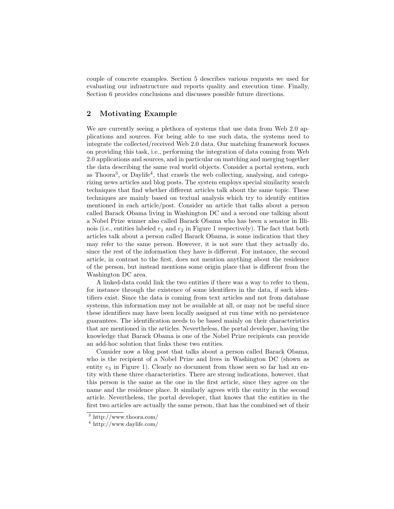couple of concrete examples. Section 5 describes various requests we used for evaluating our infrastructure and reports quality and execution time. Finally, Section 6 provides conclusions and discusses possible future directions.

# 2 Motivating Example

We are currently seeing a plethora of systems that use data from Web 2.0 applications and sources. For being able to use such data, the systems need to integrate the collected/received Web 2.0 data. Our matching framework focuses on providing this task, i.e., performing the integration of data coming from Web 2.0 applications and sources, and in particular on matching and merging together the data describing the same real world objects. Consider a portal system, such as Thoora<sup>3</sup>, or Daylife<sup>4</sup>, that crawls the web collecting, analysing, and categorizing news articles and blog posts. The system employs special similarity search techniques that find whether different articles talk about the same topic. These techniques are mainly based on textual analysis which try to identify entities mentioned in each article/post. Consider an article that talks about a person called Barack Obama living in Washington DC and a second one talking about a Nobel Prize winner also called Barack Obama who has been a senator in Illinois (i.e., entities labeled  $e_1$  and  $e_2$  in Figure 1 respectively). The fact that both articles talk about a person called Barack Obama, is some indication that they may refer to the same person. However, it is not sure that they actually do, since the rest of the information they have is different. For instance, the second article, in contrast to the first, does not mention anything about the residence of the person, but instead mentions some origin place that is different from the Washington DC area.

A linked-data could link the two entities if there was a way to refer to them, for instance through the existence of some identifiers in the data, if such identifiers exist. Since the data is coming from text articles and not from database systems, this information may not be available at all, or may not be useful since these identifiers may have been locally assigned at run time with no persistence guarantees. The identification needs to be based mainly on their characteristics that are mentioned in the articles. Nevertheless, the portal developer, having the knowledge that Barack Obama is one of the Nobel Prize recipients can provide an add-hoc solution that links these two entities.

Consider now a blog post that talks about a person called Barack Obama, who is the recipient of a Nobel Prize and lives in Washington DC (shown as entity  $e_3$  in Figure 1). Clearly no document from those seen so far had an entity with these three characteristics. There are strong indications, however, that this person is the same as the one in the first article, since they agree on the name and the residence place. It similarly agrees with the entity in the second article. Nevertheless, the portal developer, that knows that the entities in the first two articles are actually the same person, that has the combined set of their

<sup>3</sup> http://www.thoora.com/

<sup>4</sup> http://www.daylife.com/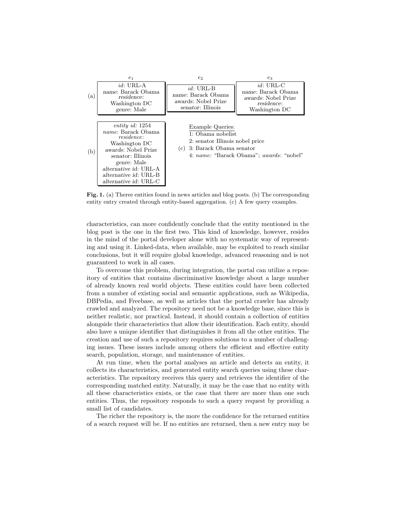

Fig. 1. (a) Theree entities found in news articles and blog posts. (b) The corresponding entity entry created through entity-based aggregation. (c) A few query examples.

characteristics, can more confidently conclude that the entity mentioned in the blog post is the one in the first two. This kind of knowledge, however, resides in the mind of the portal developer alone with no systematic way of representing and using it. Linked-data, when available, may be exploited to reach similar conclusions, but it will require global knowledge, advanced reasoning and is not guaranteed to work in all cases.

To overcome this problem, during integration, the portal can utilize a repository of entities that contains discriminative knowledge about a large number of already known real world objects. These entities could have been collected from a number of existing social and semantic applications, such as Wikipedia, DBPedia, and Freebase, as well as articles that the portal crawler has already crawled and analyzed. The repository need not be a knowledge base, since this is neither realistic, nor practical. Instead, it should contain a collection of entities alongside their characteristics that allow their identification. Each entity, should also have a unique identifier that distinguishes it from all the other entities. The creation and use of such a repository requires solutions to a number of challenging issues. These issues include among others the efficient and effective entity search, population, storage, and maintenance of entities.

At run time, when the portal analyses an article and detects an entity, it collects its characteristics, and generated entity search queries using these characteristics. The repository receives this query and retrieves the identifier of the corresponding matched entity. Naturally, it may be the case that no entity with all these characteristics exists, or the case that there are more than one such entities. Thus, the repository responds to such a query request by providing a small list of candidates.

The richer the repository is, the more the confidence for the returned entities of a search request will be. If no entities are returned, then a new entry may be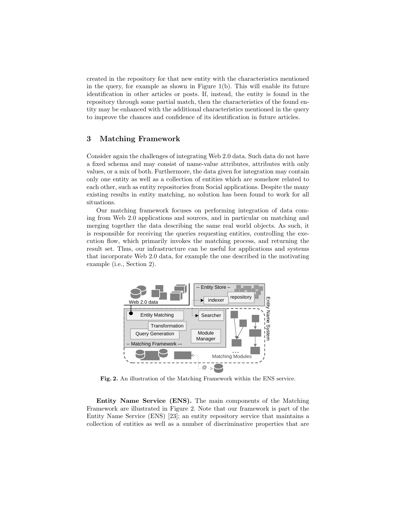created in the repository for that new entity with the characteristics mentioned in the query, for example as shown in Figure  $1(b)$ . This will enable its future identification in other articles or posts. If, instead, the entity is found in the repository through some partial match, then the characteristics of the found entity may be enhanced with the additional characteristics mentioned in the query to improve the chances and confidence of its identification in future articles.

# 3 Matching Framework

Consider again the challenges of integrating Web 2.0 data. Such data do not have a fixed schema and may consist of name-value attributes, attributes with only values, or a mix of both. Furthermore, the data given for integration may contain only one entity as well as a collection of entities which are somehow related to each other, such as entity repositories from Social applications. Despite the many existing results in entity matching, no solution has been found to work for all situations.

Our matching framework focuses on performing integration of data coming from Web 2.0 applications and sources, and in particular on matching and merging together the data describing the same real world objects. As such, it is responsible for receiving the queries requesting entities, controlling the execution flow, which primarily invokes the matching process, and returning the result set. Thus, our infrastructure can be useful for applications and systems that incorporate Web 2.0 data, for example the one described in the motivating example (i.e., Section 2).



Fig. 2. An illustration of the Matching Framework within the ENS service.

Entity Name Service (ENS). The main components of the Matching Framework are illustrated in Figure 2. Note that our framework is part of the Entity Name Service (ENS) [23]; an entity repository service that maintains a collection of entities as well as a number of discriminative properties that are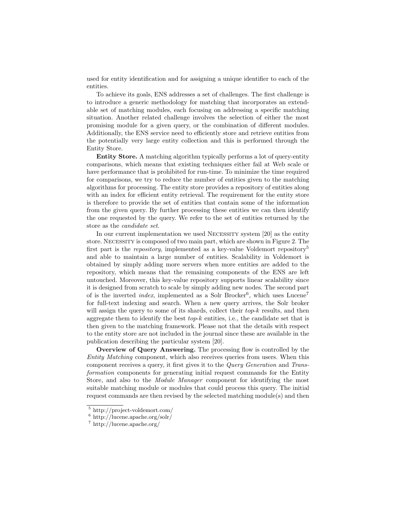used for entity identification and for assigning a unique identifier to each of the entities.

To achieve its goals, ENS addresses a set of challenges. The first challenge is to introduce a generic methodology for matching that incorporates an extendable set of matching modules, each focusing on addressing a specific matching situation. Another related challenge involves the selection of either the most promising module for a given query, or the combination of different modules. Additionally, the ENS service need to efficiently store and retrieve entities from the potentially very large entity collection and this is performed through the Entity Store.

Entity Store. A matching algorithm typically performs a lot of query-entity comparisons, which means that existing techniques either fail at Web scale or have performance that is prohibited for run-time. To minimize the time required for comparisons, we try to reduce the number of entities given to the matching algorithms for processing. The entity store provides a repository of entities along with an index for efficient entity retrieval. The requirement for the entity store is therefore to provide the set of entities that contain some of the information from the given query. By further processing these entities we can then identify the one requested by the query. We refer to the set of entities returned by the store as the candidate set.

In our current implementation we used NECESSITY system [20] as the entity store. Necessity is composed of two main part, which are shown in Figure 2. The first part is the repository, implemented as a key-value Voldemort repository<sup>5</sup> and able to maintain a large number of entities. Scalability in Voldemort is obtained by simply adding more servers when more entities are added to the repository, which means that the remaining components of the ENS are left untouched. Moreover, this key-value repository supports linear scalability since it is designed from scratch to scale by simply adding new nodes. The second part of is the inverted *index*, implemented as a Solr Brocker<sup>6</sup>, which uses Lucene<sup>7</sup> for full-text indexing and search. When a new query arrives, the Solr broker will assign the query to some of its shards, collect their  $top-k$  results, and then aggregate them to identify the best  $top-k$  entities, i.e., the candidate set that is then given to the matching framework. Please not that the details with respect to the entity store are not included in the journal since these are available in the publication describing the particular system [20].

Overview of Query Answering. The processing flow is controlled by the Entity Matching component, which also receives queries from users. When this component receives a query, it first gives it to the Query Generation and Transformation components for generating initial request commands for the Entity Store, and also to the Module Manager component for identifying the most suitable matching module or modules that could process this query. The initial request commands are then revised by the selected matching module(s) and then

<sup>5</sup> http://project-voldemort.com/

<sup>6</sup> http://lucene.apache.org/solr/

<sup>7</sup> http://lucene.apache.org/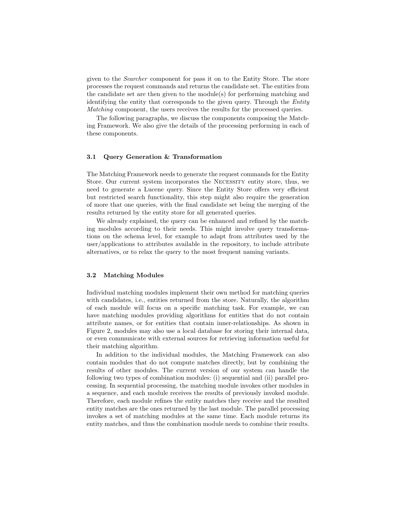given to the Searcher component for pass it on to the Entity Store. The store processes the request commands and returns the candidate set. The entities from the candidate set are then given to the module(s) for performing matching and identifying the entity that corresponds to the given query. Through the Entity Matching component, the users receives the results for the processed queries.

The following paragraphs, we discuss the components composing the Matching Framework. We also give the details of the processing performing in each of these components.

#### 3.1 Query Generation & Transformation

The Matching Framework needs to generate the request commands for the Entity Store. Our current system incorporates the Necessity entity store, thus, we need to generate a Lucene query. Since the Entity Store offers very efficient but restricted search functionality, this step might also require the generation of more that one queries, with the final candidate set being the merging of the results returned by the entity store for all generated queries.

We already explained, the query can be enhanced and refined by the matching modules according to their needs. This might involve query transformations on the schema level, for example to adapt from attributes used by the user/applications to attributes available in the repository, to include attribute alternatives, or to relax the query to the most frequent naming variants.

### 3.2 Matching Modules

Individual matching modules implement their own method for matching queries with candidates, i.e., entities returned from the store. Naturally, the algorithm of each module will focus on a specific matching task. For example, we can have matching modules providing algorithms for entities that do not contain attribute names, or for entities that contain inner-relationships. As shown in Figure 2, modules may also use a local database for storing their internal data, or even communicate with external sources for retrieving information useful for their matching algorithm.

In addition to the individual modules, the Matching Framework can also contain modules that do not compute matches directly, but by combining the results of other modules. The current version of our system can handle the following two types of combination modules: (i) sequential and (ii) parallel processing. In sequential processing, the matching module invokes other modules in a sequence, and each module receives the results of previously invoked module. Therefore, each module refines the entity matches they receive and the resulted entity matches are the ones returned by the last module. The parallel processing invokes a set of matching modules at the same time. Each module returns its entity matches, and thus the combination module needs to combine their results.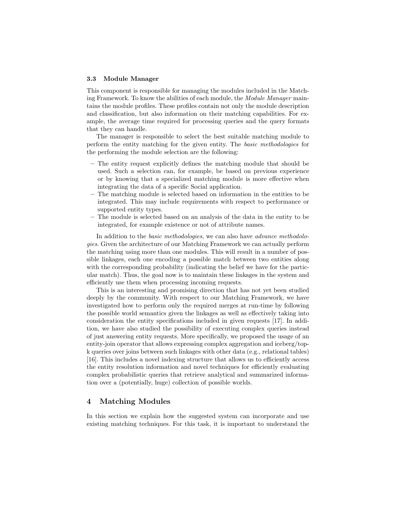#### 3.3 Module Manager

This component is responsible for managing the modules included in the Matching Framework. To know the abilities of each module, the Module Manager maintains the module profiles. These profiles contain not only the module description and classification, but also information on their matching capabilities. For example, the average time required for processing queries and the query formats that they can handle.

The manager is responsible to select the best suitable matching module to perform the entity matching for the given entity. The basic methodologies for the performing the module selection are the following:

- The entity request explicitly defines the matching module that should be used. Such a selection can, for example, be based on previous experience or by knowing that a specialized matching module is more effective when integrating the data of a specific Social application.
- The matching module is selected based on information in the entities to be integrated. This may include requirements with respect to performance or supported entity types.
- The module is selected based on an analysis of the data in the entity to be integrated, for example existence or not of attribute names.

In addition to the *basic methodologies*, we can also have *advance methodolo*gies. Given the architecture of our Matching Framework we can actually perform the matching using more than one modules. This will result in a number of possible linkages, each one encoding a possible match between two entities along with the corresponding probability (indicating the belief we have for the particular match). Thus, the goal now is to maintain these linkages in the system and efficiently use them when processing incoming requests.

This is an interesting and promising direction that has not yet been studied deeply by the community. With respect to our Matching Framework, we have investigated how to perform only the required merges at run-time by following the possible world semantics given the linkages as well as effectively taking into consideration the entity specifications included in given requests [17]. In addition, we have also studied the possibility of executing complex queries instead of just answering entity requests. More specifically, we proposed the usage of an entity-join operator that allows expressing complex aggregation and iceberg/topk queries over joins between such linkages with other data (e.g., relational tables) [16]. This includes a novel indexing structure that allows us to efficiently access the entity resolution information and novel techniques for efficiently evaluating complex probabilistic queries that retrieve analytical and summarized information over a (potentially, huge) collection of possible worlds.

# 4 Matching Modules

In this section we explain how the suggested system can incorporate and use existing matching techniques. For this task, it is important to understand the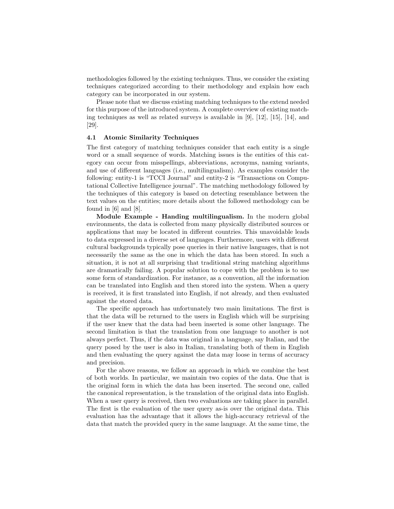methodologies followed by the existing techniques. Thus, we consider the existing techniques categorized according to their methodology and explain how each category can be incorporated in our system.

Please note that we discuss existing matching techniques to the extend needed for this purpose of the introduced system. A complete overview of existing matching techniques as well as related surveys is available in [9], [12], [15], [14], and [29].

### 4.1 Atomic Similarity Techniques

The first category of matching techniques consider that each entity is a single word or a small sequence of words. Matching issues is the entities of this category can occur from misspellings, abbreviations, acronyms, naming variants, and use of different languages (i.e., multilingualism). As examples consider the following: entity-1 is "TCCI Journal" and entity-2 is "Transactions on Computational Collective Intelligence journal". The matching methodology followed by the techniques of this category is based on detecting resemblance between the text values on the entities; more details about the followed methodology can be found in [6] and [8].

Module Example - Handing multilingualism. In the modern global environments, the data is collected from many physically distributed sources or applications that may be located in different countries. This unavoidable leads to data expressed in a diverse set of languages. Furthermore, users with different cultural backgrounds typically pose queries in their native languages, that is not necessarily the same as the one in which the data has been stored. In such a situation, it is not at all surprising that traditional string matching algorithms are dramatically failing. A popular solution to cope with the problem is to use some form of standardization. For instance, as a convention, all the information can be translated into English and then stored into the system. When a query is received, it is first translated into English, if not already, and then evaluated against the stored data.

The specific approach has unfortunately two main limitations. The first is that the data will be returned to the users in English which will be surprising if the user knew that the data had been inserted is some other language. The second limitation is that the translation from one language to another is not always perfect. Thus, if the data was original in a language, say Italian, and the query posed by the user is also in Italian, translating both of them in English and then evaluating the query against the data may loose in terms of accuracy and precision.

For the above reasons, we follow an approach in which we combine the best of both worlds. In particular, we maintain two copies of the data. One that is the original form in which the data has been inserted. The second one, called the canonical representation, is the translation of the original data into English. When a user query is received, then two evaluations are taking place in parallel. The first is the evaluation of the user query as-is over the original data. This evaluation has the advantage that it allows the high-accuracy retrieval of the data that match the provided query in the same language. At the same time, the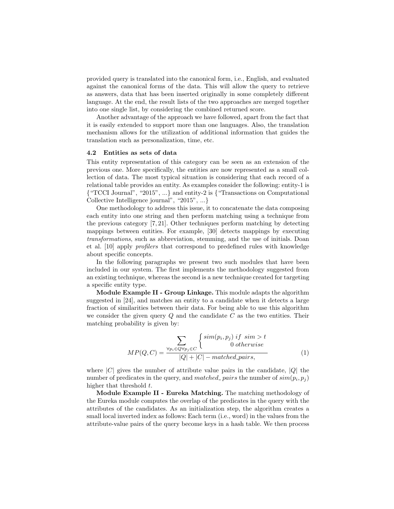provided query is translated into the canonical form, i.e., English, and evaluated against the canonical forms of the data. This will allow the query to retrieve as answers, data that has been inserted originally in some completely different language. At the end, the result lists of the two approaches are merged together into one single list, by considering the combined returned score.

Another advantage of the approach we have followed, apart from the fact that it is easily extended to support more than one languages. Also, the translation mechanism allows for the utilization of additional information that guides the translation such as personalization, time, etc.

#### 4.2 Entities as sets of data

This entity representation of this category can be seen as an extension of the previous one. More specifically, the entities are now represented as a small collection of data. The most typical situation is considering that each record of a relational table provides an entity. As examples consider the following: entity-1 is {"TCCI Journal", "2015", ...} and entity-2 is {"Transactions on Computational Collective Intelligence journal", "2015", ...}

One methodology to address this issue, it to concatenate the data composing each entity into one string and then perform matching using a technique from the previous category [7, 21]. Other techniques perform matching by detecting mappings between entities. For example, [30] detects mappings by executing transformations, such as abbreviation, stemming, and the use of initials. Doan et al. [10] apply profilers that correspond to predefined rules with knowledge about specific concepts.

In the following paragraphs we present two such modules that have been included in our system. The first implements the methodology suggested from an existing technique, whereas the second is a new technique created for targeting a specific entity type.

Module Example II - Group Linkage. This module adapts the algorithm suggested in [24], and matches an entity to a candidate when it detects a large fraction of similarities between their data. For being able to use this algorithm we consider the given query  $Q$  and the candidate  $C$  as the two entities. Their matching probability is given by:

$$
MP(Q, C) = \frac{\sum_{\forall p_i \in Q \forall p_j \in C} \begin{cases} \sin(p_i, p_j) & \text{if } \sin > t \\ 0 & \text{otherwise} \end{cases}}{|Q| + |C| - matched \cdot pairs},\tag{1}
$$

where  $|C|$  gives the number of attribute value pairs in the candidate,  $|Q|$  the number of predicates in the query, and *matched<sub>-</sub> pairs* the number of  $sim(p_i, p_j)$ higher that threshold  $t$ .

Module Example II - Eureka Matching. The matching methodology of the Eureka module computes the overlap of the predicates in the query with the attributes of the candidates. As an initialization step, the algorithm creates a small local inverted index as follows: Each term (i.e., word) in the values from the attribute-value pairs of the query become keys in a hash table. We then process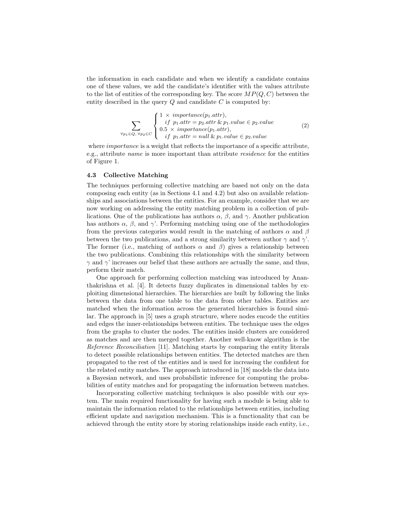the information in each candidate and when we identify a candidate contains one of these values, we add the candidate's identifier with the values attribute to the list of entities of the corresponding key. The score  $MP(Q, C)$  between the entity described in the query  $Q$  and candidate  $C$  is computed by:

$$
\sum_{\forall p_1 \in Q, \forall p_2 \in C} \begin{cases} 1 \times \text{ importance}(p_1.attr), \\ \text{if } p_1.attr = p_2.attr \& p_1.value \in p_2.value \\ 0.5 \times \text{ importance}(p_1.attr), \\ \text{if } p_1.attr = null \& p_1.value \in p_2.value \end{cases} \tag{2}
$$

where *importance* is a weight that reflects the importance of a specific attribute, e.g., attribute name is more important than attribute residence for the entities of Figure 1.

### 4.3 Collective Matching

The techniques performing collective matching are based not only on the data composing each entity (as in Sections 4.1 and 4.2) but also on available relationships and associations between the entities. For an example, consider that we are now working on addressing the entity matching problem in a collection of publications. One of the publications has authors  $\alpha$ ,  $\beta$ , and  $\gamma$ . Another publication has authors  $\alpha$ ,  $\beta$ , and  $\gamma'$ . Performing matching using one of the methodologies from the previous categories would result in the matching of authors  $\alpha$  and  $\beta$ between the two publications, and a strong similarity between author  $\gamma$  and  $\gamma'$ . The former (i.e., matching of authors  $\alpha$  and  $\beta$ ) gives a relationship between the two publications. Combining this relationships with the similarity between  $\gamma$  and  $\gamma'$  increases our belief that these authors are actually the same, and thus, perform their match.

One approach for performing collection matching was introduced by Ananthakrishna et al. [4]. It detects fuzzy duplicates in dimensional tables by exploiting dimensional hierarchies. The hierarchies are built by following the links between the data from one table to the data from other tables. Entities are matched when the information across the generated hierarchies is found similar. The approach in [5] uses a graph structure, where nodes encode the entities and edges the inner-relationships between entities. The technique uses the edges from the graphs to cluster the nodes. The entities inside clusters are considered as matches and are then merged together. Another well-know algorithm is the Reference Reconciliation [11]. Matching starts by comparing the entity literals to detect possible relationships between entities. The detected matches are then propagated to the rest of the entities and is used for increasing the confident for the related entity matches. The approach introduced in [18] models the data into a Bayesian network, and uses probabilistic inference for computing the probabilities of entity matches and for propagating the information between matches.

Incorporating collective matching techniques is also possible with our system. The main required functionality for having such a module is being able to maintain the information related to the relationships between entities, including efficient update and navigation mechanism. This is a functionality that can be achieved through the entity store by storing relationships inside each entity, i.e.,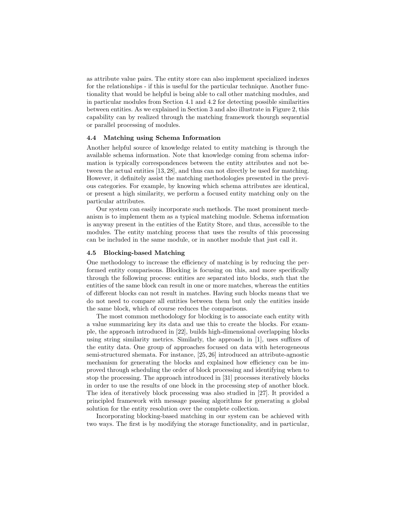as attribute value pairs. The entity store can also implement specialized indexes for the relationships - if this is useful for the particular technique. Another functionality that would be helpful is being able to call other matching modules, and in particular modules from Section 4.1 and 4.2 for detecting possible similarities between entities. As we explained in Section 3 and also illustrate in Figure 2, this capability can by realized through the matching framework thourgh sequential or parallel processing of modules.

### 4.4 Matching using Schema Information

Another helpful source of knowledge related to entity matching is through the available schema information. Note that knowledge coming from schema information is typically correspondences between the entity attributes and not between the actual entities [13, 28], and thus can not directly be used for matching. However, it definitely assist the matching methodologies presented in the previous categories. For example, by knowing which schema attributes are identical, or present a high similarity, we perform a focused entity matching only on the particular attributes.

Our system can easily incorporate such methods. The most prominent mechanism is to implement them as a typical matching module. Schema information is anyway present in the entities of the Entity Store, and thus, accessible to the modules. The entity matching process that uses the results of this processing can be included in the same module, or in another module that just call it.

### 4.5 Blocking-based Matching

One methodology to increase the efficiency of matching is by reducing the performed entity comparisons. Blocking is focusing on this, and more specifically through the following process: entities are separated into blocks, such that the entities of the same block can result in one or more matches, whereas the entities of different blocks can not result in matches. Having such blocks means that we do not need to compare all entities between them but only the entities inside the same block, which of course reduces the comparisons.

The most common methodology for blocking is to associate each entity with a value summarizing key its data and use this to create the blocks. For example, the approach introduced in [22], builds high-dimensional overlapping blocks using string similarity metrics. Similarly, the approach in [1], uses suffixes of the entity data. One group of approaches focused on data with heterogeneous semi-structured shemata. For instance, [25, 26] introduced an attribute-agnostic mechanism for generating the blocks and explained how efficiency can be improved through scheduling the order of block processing and identifying when to stop the processing. The approach introduced in [31] processes iteratively blocks in order to use the results of one block in the processing step of another block. The idea of iteratively block processing was also studied in [27]. It provided a principled framework with message passing algorithms for generating a global solution for the entity resolution over the complete collection.

Incorporating blocking-based matching in our system can be achieved with two ways. The first is by modifying the storage functionality, and in particular,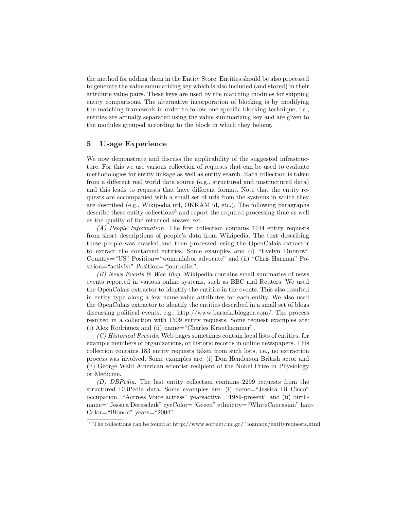the method for adding them in the Entity Store. Entities should be also processed to generate the value summarizing key which is also included (and stored) in their attribute value pairs. These keys are used by the matching modules for skipping entity comparisons. The alternative incorporation of blocking is by modifying the matching framework in order to follow one specific blocking technique, i.e., entities are actually separated using the value summarizing key and are given to the modules grouped according to the block in which they belong.

### 5 Usage Experience

We now demonstrate and discuss the applicability of the suggested infrastructure. For this we use various collection of requests that can be used to evaluate methodologies for entity linkage as well as entity search. Each collection is taken from a different real world data source (e.g., structured and unstructured data) and this leads to requests that have different format. Note that the entity requests are accompanied with a small set of urls from the systems in which they are described (e.g., Wikipedia url, OKKAM id, etc.). The following paragraphs describe these entity collections<sup>8</sup> and report the required processing time as well as the quality of the returned answer set.

(A) People Information. The first collection contains 7444 entity requests from short descriptions of people's data from Wikipedia. The text describing these people was crawled and then processed using the OpenCalais extractor to extract the contained entities. Some examples are: (i) "Evelyn Dubrow" Country="US" Position="womenlabor advocate" and (ii) "Chris Harman" Position="activist" Position="journalist".

 $(B)$  News Events & Web Blog. Wikipedia contains small summaries of news events reported in various online systems, such as BBC and Reuters. We used the OpenCalais extractor to identify the entities in the events. This also resulted in entity type along a few name-value attributes for each entity. We also used the OpenCalais extractor to identify the entities described in a small set of blogs discussing political events, e.g., http://www.barackoblogger.com/. The process resulted in a collection with 1509 entity requests. Some request examples are: (i) Alex Rodriguez and (ii) name="Charles Krauthammer".

(C) Historical Records. Web pages sometimes contain local lists of entities, for example members of organizations, or historic records in online newspapers. This collection contains 183 entity requests taken from such lists, i.e., no extraction process was involved. Some examples are: (i) Don Henderson British actor and (ii) George Wald American scientist recipient of the Nobel Prize in Physiology or Medicine.

(D) DBPedia. The last entity collection contains 2299 requests from the structured DBPedia data. Some examples are: (i) name="Jessica Di Cicco" occupation="Actress Voice actress" yearsactive="1989-present" and (ii) birthname="Jessica Dereschuk" eyeColor="Green" ethnicity="WhiteCaucasian" hair-Color="Blonde" years="2004".

<sup>8</sup> The collections can be found at http://www.softnet.tuc.gr/˜ioannou/entityrequests.html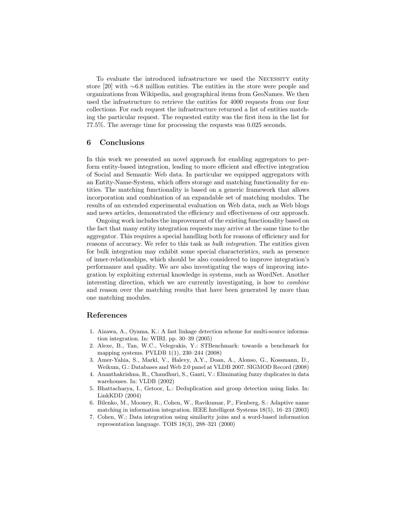To evaluate the introduced infrastructure we used the Necessity entity store [20] with ∼6.8 million entities. The entities in the store were people and organizations from Wikipedia, and geographical items from GeoNames. We then used the infrastructure to retrieve the entities for 4000 requests from our four collections. For each request the infrastructure returned a list of entities matching the particular request. The requested entity was the first item in the list for 77.5%. The average time for processing the requests was 0.025 seconds.

### 6 Conclusions

In this work we presented an novel approach for enabling aggregators to perform entity-based integration, leading to more efficient and effective integration of Social and Semantic Web data. In particular we equipped aggregators with an Entity-Name-System, which offers storage and matching functionality for entities. The matching functionality is based on a generic framework that allows incorporation and combination of an expandable set of matching modules. The results of an extended experimental evaluation on Web data, such as Web blogs and news articles, demonstrated the efficiency and effectiveness of our approach.

Ongoing work includes the improvement of the existing functionality based on the fact that many entity integration requests may arrive at the same time to the aggregator. This requires a special handling both for reasons of efficiency and for reasons of accuracy. We refer to this task as *bulk integration*. The entities given for bulk integration may exhibit some special characteristics, such as presence of inner-relationships, which should be also considered to improve integration's performance and quality. We are also investigating the ways of improving integration by exploiting external knowledge in systems, such as WordNet. Another interesting direction, which we are currently investigating, is how to combine and reason over the matching results that have been generated by more than one matching modules.

### References

- 1. Aizawa, A., Oyama, K.: A fast linkage detection scheme for multi-source information integration. In: WIRI. pp. 30–39 (2005)
- 2. Alexe, B., Tan, W.C., Velegrakis, Y.: STBenchmark: towards a benchmark for mapping systems. PVLDB 1(1), 230–244 (2008)
- 3. Amer-Yahia, S., Markl, V., Halevy, A.Y., Doan, A., Alonso, G., Kossmann, D., Weikum, G.: Databases and Web 2.0 panel at VLDB 2007. SIGMOD Record (2008)
- 4. Ananthakrishna, R., Chaudhuri, S., Ganti, V.: Eliminating fuzzy duplicates in data warehouses. In: VLDB (2002)
- 5. Bhattacharya, I., Getoor, L.: Deduplication and group detection using links. In: LinkKDD (2004)
- 6. Bilenko, M., Mooney, R., Cohen, W., Ravikumar, P., Fienberg, S.: Adaptive name matching in information integration. IEEE Intelligent Systems 18(5), 16–23 (2003)
- 7. Cohen, W.: Data integration using similarity joins and a word-based information representation language. TOIS 18(3), 288–321 (2000)